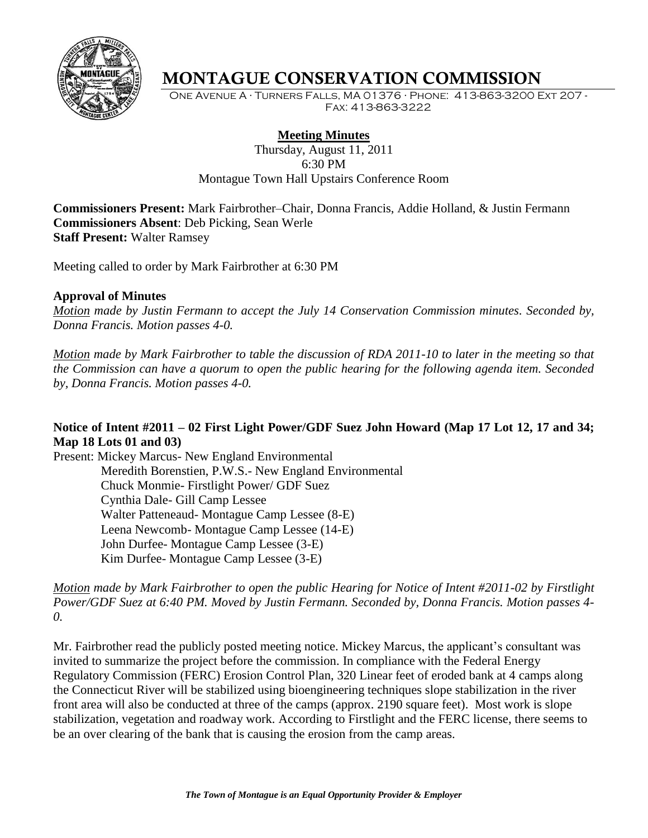

# **MONTAGUE CONSERVATION COMMISSION**

One Avenue A · Turners Falls, MA 01376 · Phone: 413-863-3200 Ext 207 - Fax: 413-863-3222

## **Meeting Minutes**

Thursday, August 11, 2011 6:30 PM Montague Town Hall Upstairs Conference Room

**Commissioners Present:** Mark Fairbrother–Chair, Donna Francis, Addie Holland, & Justin Fermann **Commissioners Absent**: Deb Picking, Sean Werle **Staff Present:** Walter Ramsey

Meeting called to order by Mark Fairbrother at 6:30 PM

#### **Approval of Minutes**

*Motion made by Justin Fermann to accept the July 14 Conservation Commission minutes. Seconded by, Donna Francis. Motion passes 4-0.*

*Motion made by Mark Fairbrother to table the discussion of RDA 2011-10 to later in the meeting so that the Commission can have a quorum to open the public hearing for the following agenda item. Seconded by, Donna Francis. Motion passes 4-0.*

## **Notice of Intent #2011 – 02 First Light Power/GDF Suez John Howard (Map 17 Lot 12, 17 and 34; Map 18 Lots 01 and 03)**

Present: Mickey Marcus- New England Environmental Meredith Borenstien, P.W.S.- New England Environmental Chuck Monmie- Firstlight Power/ GDF Suez Cynthia Dale- Gill Camp Lessee Walter Patteneaud- Montague Camp Lessee (8-E) Leena Newcomb- Montague Camp Lessee (14-E) John Durfee- Montague Camp Lessee (3-E) Kim Durfee- Montague Camp Lessee (3-E)

### *Motion made by Mark Fairbrother to open the public Hearing for Notice of Intent #2011-02 by Firstlight Power/GDF Suez at 6:40 PM. Moved by Justin Fermann. Seconded by, Donna Francis. Motion passes 4- 0.*

Mr. Fairbrother read the publicly posted meeting notice. Mickey Marcus, the applicant's consultant was invited to summarize the project before the commission. In compliance with the Federal Energy Regulatory Commission (FERC) Erosion Control Plan, 320 Linear feet of eroded bank at 4 camps along the Connecticut River will be stabilized using bioengineering techniques slope stabilization in the river front area will also be conducted at three of the camps (approx. 2190 square feet). Most work is slope stabilization, vegetation and roadway work. According to Firstlight and the FERC license, there seems to be an over clearing of the bank that is causing the erosion from the camp areas.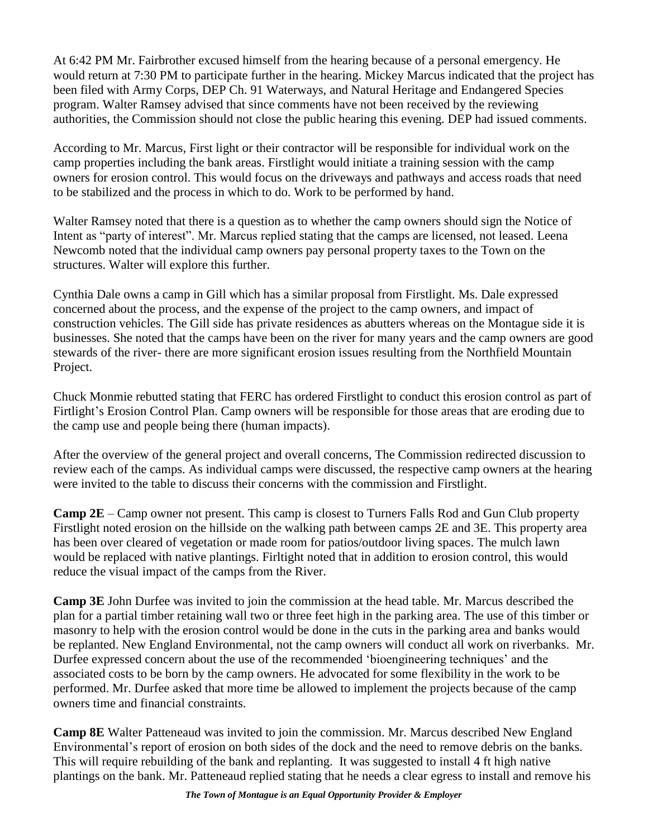At 6:42 PM Mr. Fairbrother excused himself from the hearing because of a personal emergency. He would return at 7:30 PM to participate further in the hearing. Mickey Marcus indicated that the project has been filed with Army Corps, DEP Ch. 91 Waterways, and Natural Heritage and Endangered Species program. Walter Ramsey advised that since comments have not been received by the reviewing authorities, the Commission should not close the public hearing this evening. DEP had issued comments.

According to Mr. Marcus, First light or their contractor will be responsible for individual work on the camp properties including the bank areas. Firstlight would initiate a training session with the camp owners for erosion control. This would focus on the driveways and pathways and access roads that need to be stabilized and the process in which to do. Work to be performed by hand.

Walter Ramsey noted that there is a question as to whether the camp owners should sign the Notice of Intent as "party of interest". Mr. Marcus replied stating that the camps are licensed, not leased. Leena Newcomb noted that the individual camp owners pay personal property taxes to the Town on the structures. Walter will explore this further.

Cynthia Dale owns a camp in Gill which has a similar proposal from Firstlight. Ms. Dale expressed concerned about the process, and the expense of the project to the camp owners, and impact of construction vehicles. The Gill side has private residences as abutters whereas on the Montague side it is businesses. She noted that the camps have been on the river for many years and the camp owners are good stewards of the river- there are more significant erosion issues resulting from the Northfield Mountain Project.

Chuck Monmie rebutted stating that FERC has ordered Firstlight to conduct this erosion control as part of Firtlight"s Erosion Control Plan. Camp owners will be responsible for those areas that are eroding due to the camp use and people being there (human impacts).

After the overview of the general project and overall concerns, The Commission redirected discussion to review each of the camps. As individual camps were discussed, the respective camp owners at the hearing were invited to the table to discuss their concerns with the commission and Firstlight.

**Camp 2E** – Camp owner not present. This camp is closest to Turners Falls Rod and Gun Club property Firstlight noted erosion on the hillside on the walking path between camps 2E and 3E. This property area has been over cleared of vegetation or made room for patios/outdoor living spaces. The mulch lawn would be replaced with native plantings. Firltight noted that in addition to erosion control, this would reduce the visual impact of the camps from the River.

**Camp 3E** John Durfee was invited to join the commission at the head table. Mr. Marcus described the plan for a partial timber retaining wall two or three feet high in the parking area. The use of this timber or masonry to help with the erosion control would be done in the cuts in the parking area and banks would be replanted. New England Environmental, not the camp owners will conduct all work on riverbanks. Mr. Durfee expressed concern about the use of the recommended "bioengineering techniques" and the associated costs to be born by the camp owners. He advocated for some flexibility in the work to be performed. Mr. Durfee asked that more time be allowed to implement the projects because of the camp owners time and financial constraints.

**Camp 8E** Walter Patteneaud was invited to join the commission. Mr. Marcus described New England Environmental"s report of erosion on both sides of the dock and the need to remove debris on the banks. This will require rebuilding of the bank and replanting. It was suggested to install 4 ft high native plantings on the bank. Mr. Patteneaud replied stating that he needs a clear egress to install and remove his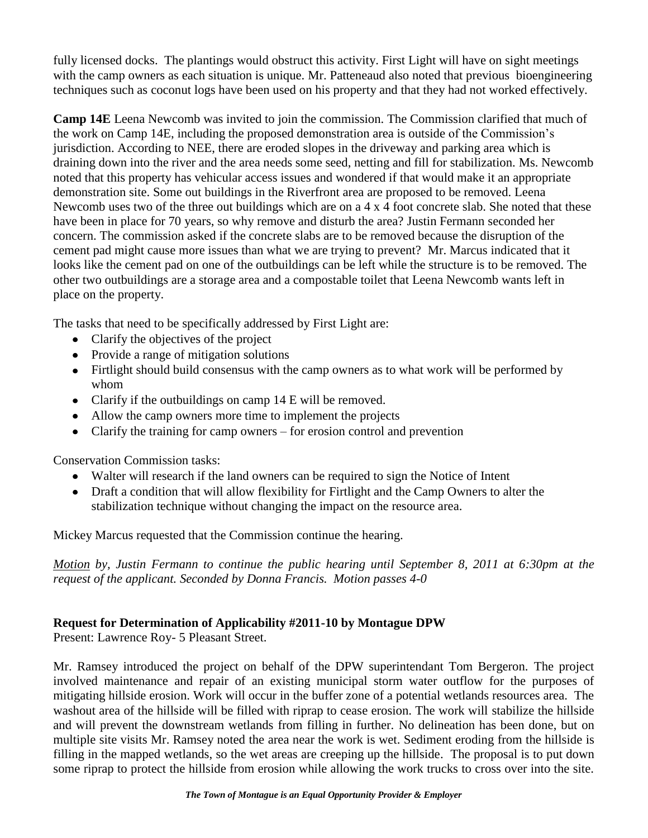fully licensed docks. The plantings would obstruct this activity. First Light will have on sight meetings with the camp owners as each situation is unique. Mr. Patteneaud also noted that previous bioengineering techniques such as coconut logs have been used on his property and that they had not worked effectively.

**Camp 14E** Leena Newcomb was invited to join the commission. The Commission clarified that much of the work on Camp 14E, including the proposed demonstration area is outside of the Commission"s jurisdiction. According to NEE, there are eroded slopes in the driveway and parking area which is draining down into the river and the area needs some seed, netting and fill for stabilization. Ms. Newcomb noted that this property has vehicular access issues and wondered if that would make it an appropriate demonstration site. Some out buildings in the Riverfront area are proposed to be removed. Leena Newcomb uses two of the three out buildings which are on a 4 x 4 foot concrete slab. She noted that these have been in place for 70 years, so why remove and disturb the area? Justin Fermann seconded her concern. The commission asked if the concrete slabs are to be removed because the disruption of the cement pad might cause more issues than what we are trying to prevent? Mr. Marcus indicated that it looks like the cement pad on one of the outbuildings can be left while the structure is to be removed. The other two outbuildings are a storage area and a compostable toilet that Leena Newcomb wants left in place on the property.

The tasks that need to be specifically addressed by First Light are:

- Clarify the objectives of the project
- Provide a range of mitigation solutions
- Firtlight should build consensus with the camp owners as to what work will be performed by whom
- Clarify if the outbuildings on camp 14 E will be removed.
- Allow the camp owners more time to implement the projects
- Clarify the training for camp owners for erosion control and prevention

Conservation Commission tasks:

- Walter will research if the land owners can be required to sign the Notice of Intent
- Draft a condition that will allow flexibility for Firtlight and the Camp Owners to alter the stabilization technique without changing the impact on the resource area.

Mickey Marcus requested that the Commission continue the hearing.

*Motion by, Justin Fermann to continue the public hearing until September 8, 2011 at 6:30pm at the request of the applicant. Seconded by Donna Francis. Motion passes 4-0*

# **Request for Determination of Applicability #2011-10 by Montague DPW**

Present: Lawrence Roy- 5 Pleasant Street.

Mr. Ramsey introduced the project on behalf of the DPW superintendant Tom Bergeron. The project involved maintenance and repair of an existing municipal storm water outflow for the purposes of mitigating hillside erosion. Work will occur in the buffer zone of a potential wetlands resources area. The washout area of the hillside will be filled with riprap to cease erosion. The work will stabilize the hillside and will prevent the downstream wetlands from filling in further. No delineation has been done, but on multiple site visits Mr. Ramsey noted the area near the work is wet. Sediment eroding from the hillside is filling in the mapped wetlands, so the wet areas are creeping up the hillside. The proposal is to put down some riprap to protect the hillside from erosion while allowing the work trucks to cross over into the site.